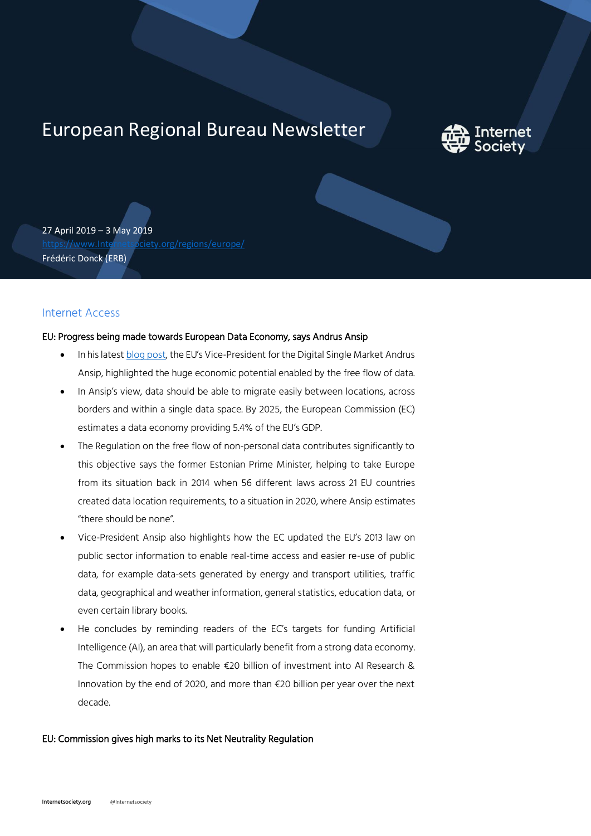# European Regional Bureau Newsletter



27 April 2019 – 3 May 2019 [https://www.Internetsociety.org/regions/europe/](https://www.internetsociety.org/regions/europe/) Frédéric Donck (ERB)

# Internet Access

# EU: Progress being made towards European Data Economy, says Andrus Ansip

- In his lates[t blog post](https://ec.europa.eu/commission/commissioners/2014-2019/ansip/blog/digital-single-market-europe-data-economy_en), the EU's Vice-President for the Digital Single Market Andrus Ansip, highlighted the huge economic potential enabled by the free flow of data.
- In Ansip's view, data should be able to migrate easily between locations, across borders and within a single data space. By 2025, the European Commission (EC) estimates a data economy providing 5.4% of the EU's GDP.
- The Regulation on the free flow of non-personal data contributes significantly to this objective says the former Estonian Prime Minister, helping to take Europe from its situation back in 2014 when 56 different laws across 21 EU countries created data location requirements, to a situation in 2020, where Ansip estimates "there should be none".
- Vice-President Ansip also highlights how the EC updated the EU's 2013 law on public sector information to enable real-time access and easier re-use of public data, for example data-sets generated by energy and transport utilities, traffic data, geographical and weather information, general statistics, education data, or even certain library books.
- He concludes by reminding readers of the EC's targets for funding Artificial Intelligence (AI), an area that will particularly benefit from a strong data economy. The Commission hopes to enable €20 billion of investment into AI Research & Innovation by the end of 2020, and more than €20 billion per year over the next decade.

#### EU: Commission gives high marks to its Net Neutrality Regulation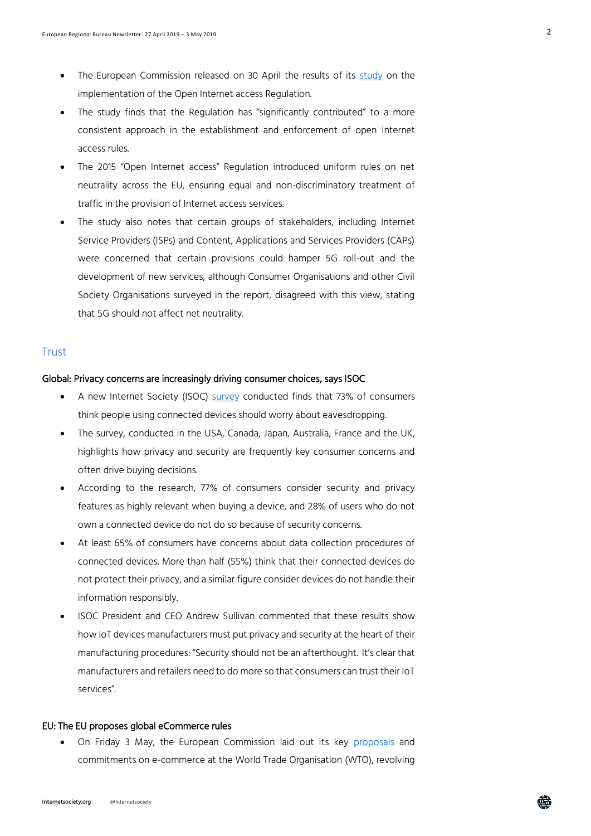- The European Commission released on 30 April the results of its [study](https://ec.europa.eu/digital-single-market/en/news/study-implementation-open-internet) on the implementation of the Open Internet access Regulation.
- The study finds that the Regulation has "significantly contributed" to a more consistent approach in the establishment and enforcement of open Internet access rules.
- The 2015 "Open Internet access" Regulation introduced uniform rules on net neutrality across the EU, ensuring equal and non-discriminatory treatment of traffic in the provision of Internet access services.
- The study also notes that certain groups of stakeholders, including Internet Service Providers (ISPs) and Content, Applications and Services Providers (CAPs) were concerned that certain provisions could hamper 5G roll-out and the development of new services, although Consumer Organisations and other Civil Society Organisations surveyed in the report, disagreed with this view, stating that 5G should not affect net neutrality.

# **Trust**

#### Global: Privacy concerns are increasingly driving consumer choices, says ISOC

- A new Internet Society (ISOC) [survey](https://www.internetsociety.org/news/press-releases/2019/concerns-over-privacy-and-security-contribute-to-consumer-distrust-in-connected-devices/) conducted finds that 73% of consumers think people using connected devices should worry about eavesdropping.
- The survey, conducted in the USA, Canada, Japan, Australia, France and the UK, highlights how privacy and security are frequently key consumer concerns and often drive buying decisions.
- According to the research, 77% of consumers consider security and privacy features as highly relevant when buying a device, and 28% of users who do not own a connected device do not do so because of security concerns.
- At least 65% of consumers have concerns about data collection procedures of connected devices. More than half (55%) think that their connected devices do not protect their privacy, and a similar figure consider devices do not handle their information responsibly.
- ISOC President and CEO Andrew Sullivan commented that these results show how IoT devices manufacturers must put privacy and security at the heart of their manufacturing procedures: "Security should not be an afterthought. It's clear that manufacturers and retailers need to do more so that consumers can trust their IoT services".

### EU: The EU proposes global eCommerce rules

• On Friday 3 May, the European Commission laid out its key [proposals](http://trade.ec.europa.eu/doclib/docs/2019/may/tradoc_157880.pdf) and commitments on e-commerce at the World Trade Organisation (WTO), revolving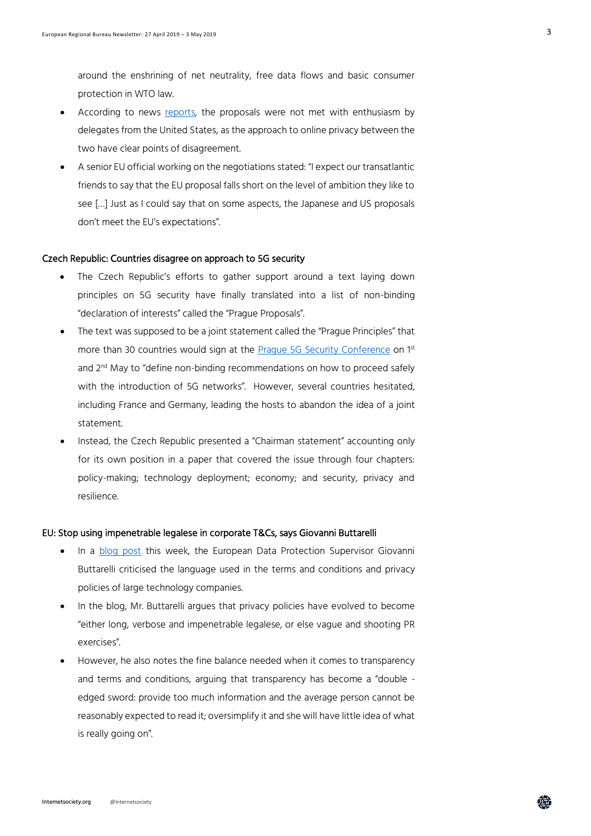around the enshrining of net neutrality, free data flows and basic consumer protection in WTO law.

- According to news [reports,](https://www.reuters.com/article/us-eu-trade-ecommerce/eu-fleshes-out-wto-e-commerce-proposal-faces-obstacles-idUSKCN1S91G4) the proposals were not met with enthusiasm by delegates from the United States, as the approach to online privacy between the two have clear points of disagreement.
- A senior EU official working on the negotiations stated: "I expect our transatlantic friends to say that the EU proposal falls short on the level of ambition they like to see […] Just as I could say that on some aspects, the Japanese and US proposals don't meet the EU's expectations".

#### Czech Republic: Countries disagree on approach to 5G security

- The Czech Republic's efforts to gather support around a text laying down principles on 5G security have finally translated into a list of non-binding "declaration of interests" called the "Prague Proposals".
- The text was supposed to be a joint statement called the "Prague Principles" that more than 30 countries would sign at the **Prague 5G Security Conference** on 1st and 2<sup>nd</sup> May to "define non-binding recommendations on how to proceed safely with the introduction of 5G networks". However, several countries hesitated, including France and Germany, leading the hosts to abandon the idea of a joint statement.
- Instead, the Czech Republic presented a "Chairman statement" accounting only for its own position in a paper that covered the issue through four chapters: policy-making; technology deployment; economy; and security, privacy and resilience.

#### EU: Stop using impenetrable legalese in corporate T&Cs, says Giovanni Buttarelli

- In a [blog post](https://edps.europa.eu/press-publications/press-news/blog/we-need-talk-about-terms-and-conditions_en?) this week, the European Data Protection Supervisor Giovanni Buttarelli criticised the language used in the terms and conditions and privacy policies of large technology companies.
- In the blog, Mr. Buttarelli argues that privacy policies have evolved to become "either long, verbose and impenetrable legalese, or else vague and shooting PR exercises".
- However, he also notes the fine balance needed when it comes to transparency and terms and conditions, arguing that transparency has become a "double edged sword: provide too much information and the average person cannot be reasonably expected to read it; oversimplify it and she will have little idea of what is really going on".